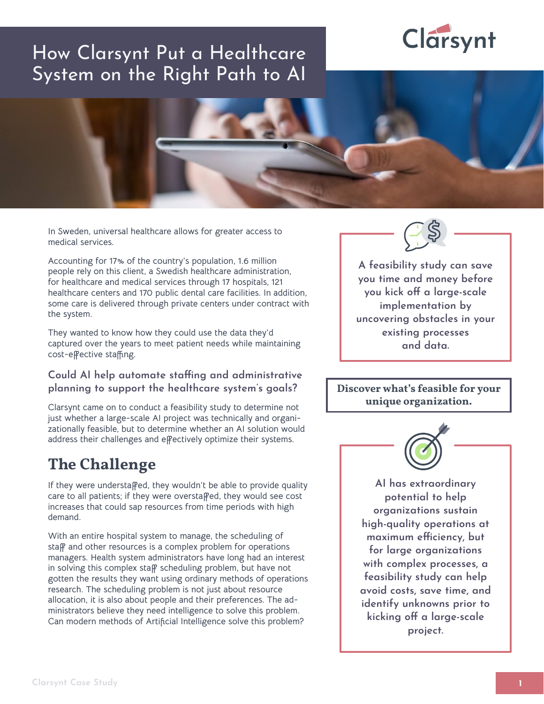# Clarsynt

# How Clarsynt Put a Healthcare System on the Right Path to AI



**In Sweden, universal healthcare allows for greater access to medical services.** 

**Accounting for 17% of the country's population, 1.6 million people rely on this client, a Swedish healthcare administration, for healthcare and medical services through 17 hospitals, 121 healthcare centers and 170 public dental care facilities. In addition, some care is delivered through private centers under contract with the system.**

**They wanted to know how they could use the data they'd captured over the years to meet patient needs while maintaining cost-effective staffing.** 

#### **Could AI help automate staffing and administrative planning to support the healthcare system's goals?**

**Clarsynt came on to conduct a feasibility study to determine not just whether a large-scale AI project was technically and organizationally feasible, but to determine whether an AI solution would address their challenges and effectively optimize their systems.** 

# **The Challenge**

**If they were understaffed, they wouldn't be able to provide quality care to all patients; if they were overstaffed, they would see cost increases that could sap resources from time periods with high demand.**

**With an entire hospital system to manage, the scheduling of staff and other resources is a complex problem for operations managers. Health system administrators have long had an interest in solving this complex staff scheduling problem, but have not gotten the results they want using ordinary methods of operations research. The scheduling problem is not just about resource allocation, it is also about people and their preferences. The administrators believe they need intelligence to solve this problem. Can modern methods of Artificial Intelligence solve this problem?**

**A feasibility study can save you time and money before you kick off a large-scale implementation by uncovering obstacles in your existing processes and data.**

**Discover what's feasible for your unique organization.**



**AI has extraordinary potential to help organizations sustain high-quality operations at maximum efficiency, but for large organizations with complex processes, a feasibility study can help avoid costs, save time, and identify unknowns prior to kicking off a large-scale project.**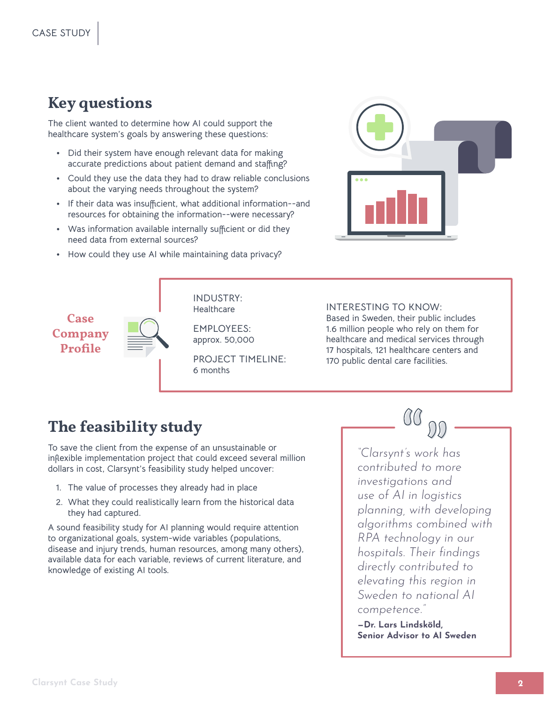### **Key questions**

**The client wanted to determine how AI could support the healthcare system's goals by answering these questions:** 

- **Did their system have enough relevant data for making accurate predictions about patient demand and staffing?**
- **Could they use the data they had to draw reliable conclusions about the varying needs throughout the system?**
- **If their data was insufficient, what additional information--and resources for obtaining the information--were necessary?**
- **Was information available internally sufficient or did they need data from external sources?**
- **How could they use AI while maintaining data privacy?**



**Case Company Profile**



**INDUSTRY: Healthcare**

**EMPLOYEES: approx. 50,000**

**PROJECT TIMELINE: 6 months** 

#### **INTERESTING TO KNOW:**

**Based in Sweden, their public includes 1.6 million people who rely on them for healthcare and medical services through 17 hospitals, 121 healthcare centers and 170 public dental care facilities.**

## **The feasibility study**

**To save the client from the expense of an unsustainable or inflexible implementation project that could exceed several million dollars in cost, Clarsynt's feasibility study helped uncover:** 

- **1. The value of processes they already had in place**
- **2. What they could realistically learn from the historical data they had captured.**

**A sound feasibility study for AI planning would require attention to organizational goals, system-wide variables (populations, disease and injury trends, human resources, among many others), available data for each variable, reviews of current literature, and knowledge of existing AI tools.**

*"Clarsynt's work has contributed to more investigations and use of AI in logistics planning, with developing algorithms combined with RPA technology in our hospitals. Their findings directly contributed to elevating this region in Sweden to national AI competence."*

**—Dr. Lars Lindsköld, Senior Advisor to AI Sweden**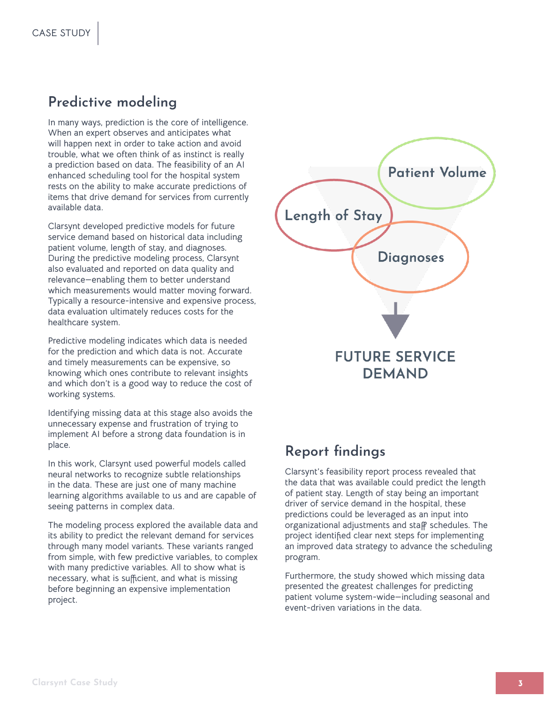#### **Predictive modeling**

**In many ways, prediction is the core of intelligence. When an expert observes and anticipates what will happen next in order to take action and avoid trouble, what we often think of as instinct is really a prediction based on data. The feasibility of an AI enhanced scheduling tool for the hospital system rests on the ability to make accurate predictions of items that drive demand for services from currently available data.**

**Clarsynt developed predictive models for future service demand based on historical data including patient volume, length of stay, and diagnoses. During the predictive modeling process, Clarsynt also evaluated and reported on data quality and relevance—enabling them to better understand which measurements would matter moving forward. Typically a resource-intensive and expensive process, data evaluation ultimately reduces costs for the healthcare system.** 

**Predictive modeling indicates which data is needed for the prediction and which data is not. Accurate and timely measurements can be expensive, so knowing which ones contribute to relevant insights and which don't is a good way to reduce the cost of working systems.**

**Identifying missing data at this stage also avoids the unnecessary expense and frustration of trying to implement AI before a strong data foundation is in place.**

**In this work, Clarsynt used powerful models called neural networks to recognize subtle relationships in the data. These are just one of many machine learning algorithms available to us and are capable of seeing patterns in complex data.**

**The modeling process explored the available data and its ability to predict the relevant demand for services through many model variants. These variants ranged from simple, with few predictive variables, to complex with many predictive variables. All to show what is necessary, what is sufficient, and what is missing before beginning an expensive implementation project.**



#### **Report findings**

**Clarsynt's feasibility report process revealed that the data that was available could predict the length of patient stay. Length of stay being an important driver of service demand in the hospital, these predictions could be leveraged as an input into organizational adjustments and staff schedules. The project identified clear next steps for implementing an improved data strategy to advance the scheduling program.**

**Furthermore, the study showed which missing data presented the greatest challenges for predicting patient volume system-wide—including seasonal and event-driven variations in the data.**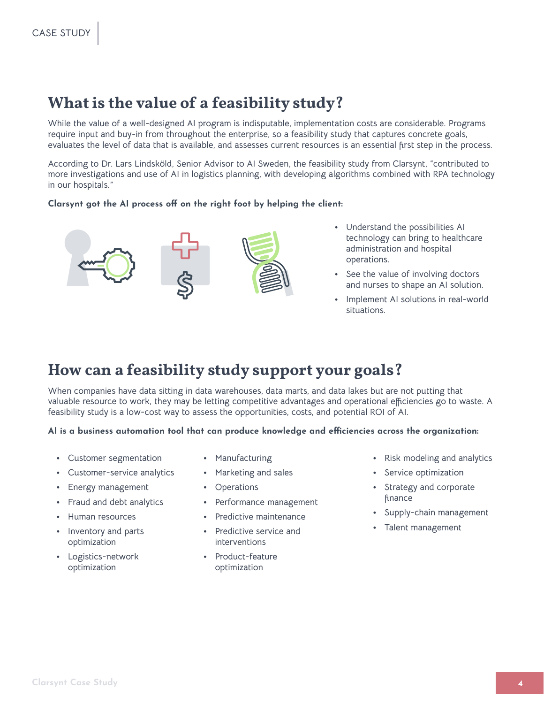## **What is the value of a feasibility study?**

**While the value of a well-designed AI program is indisputable, implementation costs are considerable. Programs require input and buy-in from throughout the enterprise, so a feasibility study that captures concrete goals, evaluates the level of data that is available, and assesses current resources is an essential first step in the process.** 

**According to Dr. Lars Lindsköld, Senior Advisor to AI Sweden, the feasibility study from Clarsynt, "contributed to more investigations and use of AI in logistics planning, with developing algorithms combined with RPA technology in our hospitals."**

#### **Clarsynt got the AI process off on the right foot by helping the client:**



- **Understand the possibilities AI technology can bring to healthcare administration and hospital operations.**
- **See the value of involving doctors and nurses to shape an AI solution.**
- **Implement AI solutions in real-world situations.**

### **How can a feasibility study support your goals?**

**When companies have data sitting in data warehouses, data marts, and data lakes but are not putting that valuable resource to work, they may be letting competitive advantages and operational efficiencies go to waste. A feasibility study is a low-cost way to assess the opportunities, costs, and potential ROI of AI.** 

#### **AI is a business automation tool that can produce knowledge and efficiencies across the organization:**

• **Customer segmentation**

• **Human resources** • **Inventory and parts optimization**

• **Logistics-network optimization**

• **Customer-service analytics** • **Energy management** • **Fraud and debt analytics**

- **Manufacturing**
- **Marketing and sales**
	- **Operations**
	- **Performance management**
	- **Predictive maintenance**
	- **Predictive service and interventions**
	- **Product-feature optimization**
- **Risk modeling and analytics**
- **Service optimization**
- **Strategy and corporate finance**
- **Supply-chain management**
- **Talent management**